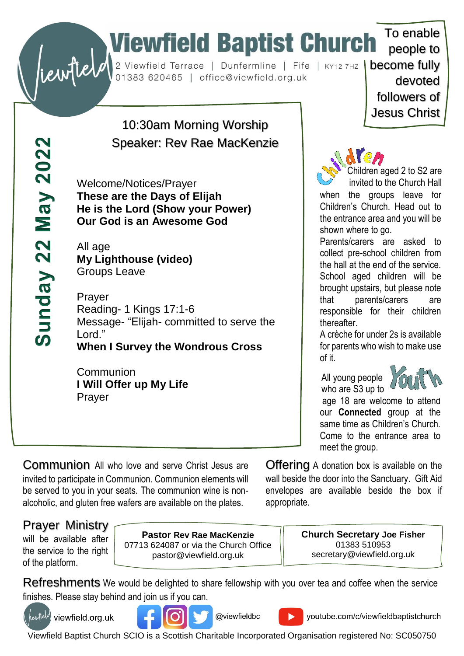# To enable<br>
Substitute of the Church To enable<br>
Dunfermline | Fife | KY12 7HZ | become fully<br>
devoted

 $May 2022$ Sunday 22

10:30am Morning Worship Speaker: Rev Rae MacKenzie

Welcome/Notices/Prayer **These are the Days of Elijah He is the Lord (Show your Power) Our God is an Awesome God**

All age **My Lighthouse (video)** Groups Leave

Prayer Reading- 1 Kings 17:1-6 Message- "Elijah- committed to serve the Lord." **When I Survey the Wondrous Cross**

Communion **I Will Offer up My Life** Prayer

people to devoted followers of Jesus Christ

To enable



Children aged 2 to S2 are invited to the Church Hall

when the groups leave for Children's Church. Head out to the entrance area and you will be shown where to go.

Parents/carers are asked to collect pre-school children from the hall at the end of the service. School aged children will be brought upstairs, but please note that parents/carers are responsible for their children thereafter.

A crèche for under 2s is available for parents who wish to make use of it.

 All young people who are S3 up to



age 18 are welcome to attend our **Connected** group at the same time as Children's Church. Come to the entrance area to meet the group.

Communion All who love and serve Christ Jesus are invited to participate in Communion. Communion elements will be served to you in your seats. The communion wine is nonalcoholic, and gluten free wafers are available on the plates.

Offering A donation box is available on the wall beside the door into the Sanctuary. Gift Aid envelopes are available beside the box if appropriate.

# Prayer Ministry

will be available after the service to the right of the platform.

**Pastor Rev Rae MacKenzie** 07713 624087 or via the Church Office pastor@viewfield.org.uk

**Church Secretary Joe Fisher** 01383 510953 secretary@viewfield.org.uk

Refreshments We would be delighted to share fellowship with you over tea and coffee when the service finishes. Please stay behind and join us if you can.



rewfield viewfield.org.uk





youtube.com/c/viewfieldbaptistchurch

Viewfield Baptist Church SCIO is a Scottish Charitable Incorporated Organisation registered No: SC050750